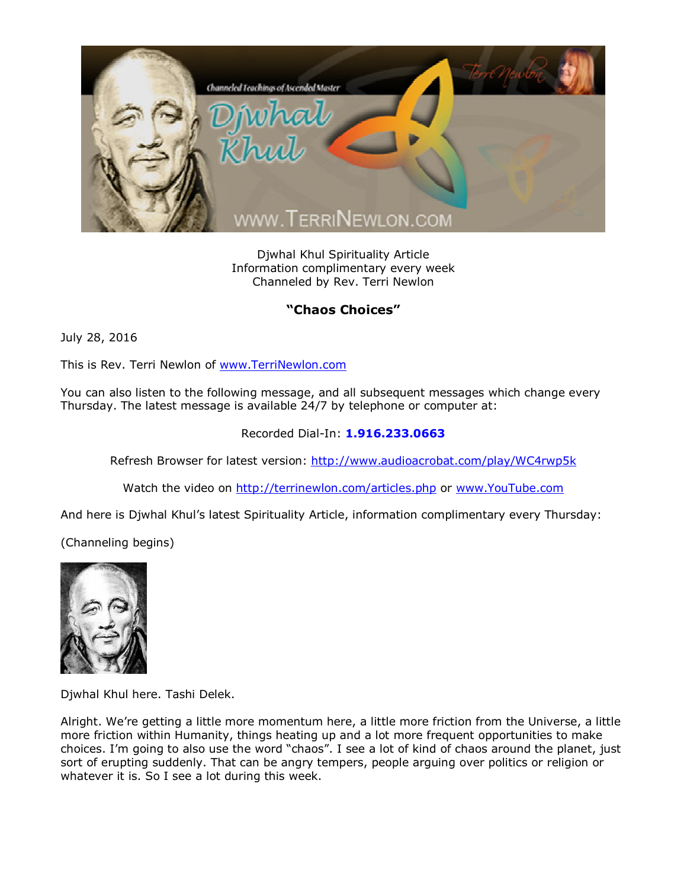

Djwhal Khul Spirituality Article Information complimentary every week Channeled by Rev. Terri Newlon

## **"Chaos Choices"**

July 28, 2016

This is Rev. Terri Newlon of [www.TerriNewlon.com](http://www.terrinewlon.com/)

You can also listen to the following message, and all subsequent messages which change every Thursday. The latest message is available 24/7 by telephone or computer at:

## Recorded Dial-In: **1.916.233.0663**

Refresh Browser for latest version: <http://www.audioacrobat.com/play/WC4rwp5k>

Watch the video on <http://terrinewlon.com/articles.php> or [www.YouTube.com](http://www.youtube.com/)

And here is Djwhal Khul's latest Spirituality Article, information complimentary every Thursday:

(Channeling begins)



Djwhal Khul here. Tashi Delek.

Alright. We're getting a little more momentum here, a little more friction from the Universe, a little more friction within Humanity, things heating up and a lot more frequent opportunities to make choices. I'm going to also use the word "chaos". I see a lot of kind of chaos around the planet, just sort of erupting suddenly. That can be angry tempers, people arguing over politics or religion or whatever it is. So I see a lot during this week.